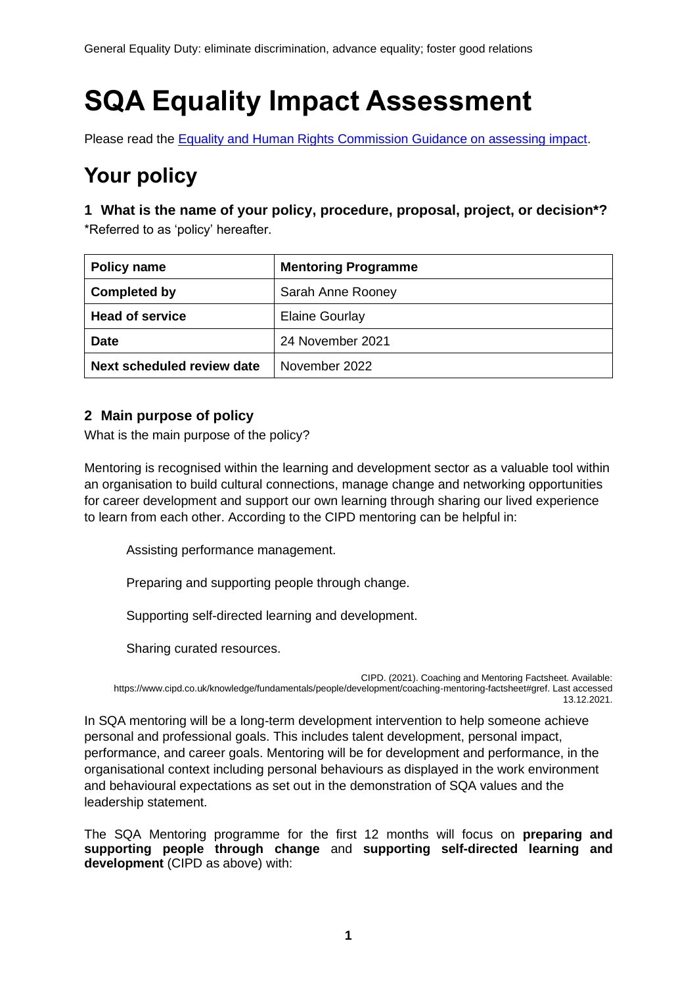# **SQA Equality Impact Assessment**

Please read the [Equality and Human Rights Commission Guidance on assessing impact.](https://www.equalityhumanrights.com/sites/default/files/assessing-impact-public-sectory-equality-duty-scotland.pdf)

# **Your policy**

**1 What is the name of your policy, procedure, proposal, project, or decision\*?** \*Referred to as 'policy' hereafter.

| Policy name                | <b>Mentoring Programme</b> |
|----------------------------|----------------------------|
| <b>Completed by</b>        | Sarah Anne Rooney          |
| <b>Head of service</b>     | <b>Elaine Gourlay</b>      |
| <b>Date</b>                | 24 November 2021           |
| Next scheduled review date | November 2022              |

# **2 Main purpose of policy**

What is the main purpose of the policy?

Mentoring is recognised within the learning and development sector as a valuable tool within an organisation to build cultural connections, manage change and networking opportunities for career development and support our own learning through sharing our lived experience to learn from each other. According to the CIPD mentoring can be helpful in:

Assisting performance management.

Preparing and supporting people through change.

Supporting self-directed learning and development.

Sharing curated resources.

CIPD. (2021). Coaching and Mentoring Factsheet. Available: https://www.cipd.co.uk/knowledge/fundamentals/people/development/coaching-mentoring-factsheet#gref. Last accessed 13.12.2021.

In SQA mentoring will be a long-term development intervention to help someone achieve personal and professional goals. This includes talent development, personal impact, performance, and career goals. Mentoring will be for development and performance, in the organisational context including personal behaviours as displayed in the work environment and behavioural expectations as set out in the demonstration of SQA values and the leadership statement.

The SQA Mentoring programme for the first 12 months will focus on **preparing and supporting people through change** and **supporting self-directed learning and development** (CIPD as above) with: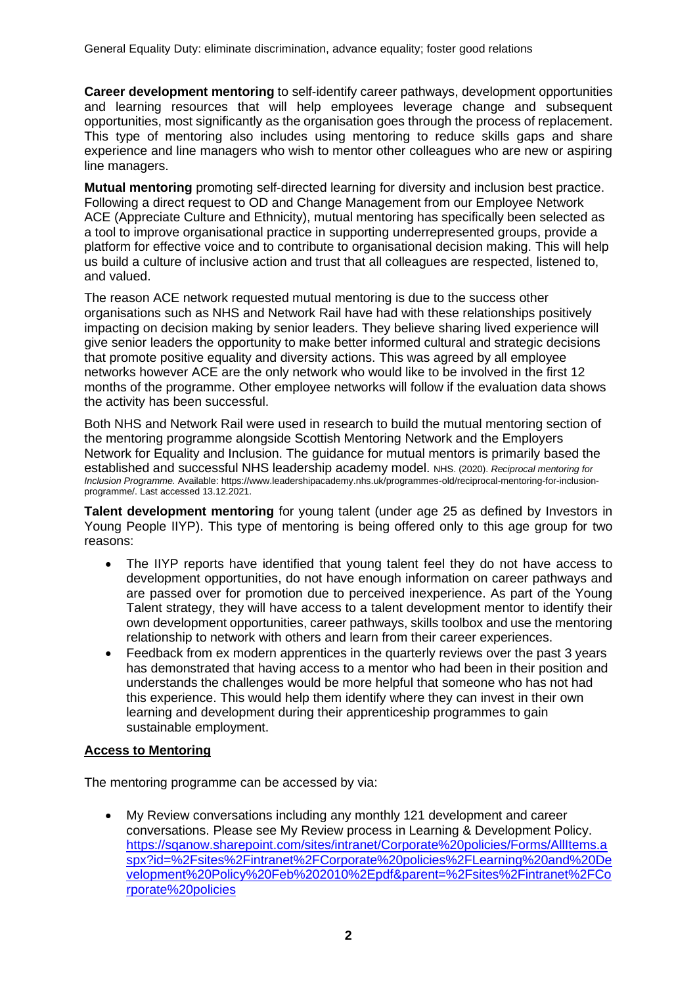**Career development mentoring** to self-identify career pathways, development opportunities and learning resources that will help employees leverage change and subsequent opportunities, most significantly as the organisation goes through the process of replacement. This type of mentoring also includes using mentoring to reduce skills gaps and share experience and line managers who wish to mentor other colleagues who are new or aspiring line managers.

**Mutual mentoring** promoting self-directed learning for diversity and inclusion best practice. Following a direct request to OD and Change Management from our Employee Network ACE (Appreciate Culture and Ethnicity), mutual mentoring has specifically been selected as a tool to improve organisational practice in supporting underrepresented groups, provide a platform for effective voice and to contribute to organisational decision making. This will help us build a culture of inclusive action and trust that all colleagues are respected, listened to, and valued.

The reason ACE network requested mutual mentoring is due to the success other organisations such as NHS and Network Rail have had with these relationships positively impacting on decision making by senior leaders. They believe sharing lived experience will give senior leaders the opportunity to make better informed cultural and strategic decisions that promote positive equality and diversity actions. This was agreed by all employee networks however ACE are the only network who would like to be involved in the first 12 months of the programme. Other employee networks will follow if the evaluation data shows the activity has been successful.

Both NHS and Network Rail were used in research to build the mutual mentoring section of the mentoring programme alongside Scottish Mentoring Network and the Employers Network for Equality and Inclusion. The guidance for mutual mentors is primarily based the established and successful NHS leadership academy model. NHS. (2020). *Reciprocal mentoring for Inclusion Programme.* Available: https://www.leadershipacademy.nhs.uk/programmes-old/reciprocal-mentoring-for-inclusionprogramme/. Last accessed 13.12.2021.

**Talent development mentoring** for young talent (under age 25 as defined by Investors in Young People IIYP). This type of mentoring is being offered only to this age group for two reasons:

- The IIYP reports have identified that young talent feel they do not have access to development opportunities, do not have enough information on career pathways and are passed over for promotion due to perceived inexperience. As part of the Young Talent strategy, they will have access to a talent development mentor to identify their own development opportunities, career pathways, skills toolbox and use the mentoring relationship to network with others and learn from their career experiences.
- Feedback from ex modern apprentices in the quarterly reviews over the past 3 years has demonstrated that having access to a mentor who had been in their position and understands the challenges would be more helpful that someone who has not had this experience. This would help them identify where they can invest in their own learning and development during their apprenticeship programmes to gain sustainable employment.

#### **Access to Mentoring**

The mentoring programme can be accessed by via:

• My Review conversations including any monthly 121 development and career conversations. Please see My Review process in Learning & Development Policy. [https://sqanow.sharepoint.com/sites/intranet/Corporate%20policies/Forms/AllItems.a](https://sqanow.sharepoint.com/sites/intranet/Corporate%20policies/Forms/AllItems.aspx?id=%2Fsites%2Fintranet%2FCorporate%20policies%2FLearning%20and%20Development%20Policy%20Feb%202010%2Epdf&parent=%2Fsites%2Fintranet%2FCorporate%20policies) [spx?id=%2Fsites%2Fintranet%2FCorporate%20policies%2FLearning%20and%20De](https://sqanow.sharepoint.com/sites/intranet/Corporate%20policies/Forms/AllItems.aspx?id=%2Fsites%2Fintranet%2FCorporate%20policies%2FLearning%20and%20Development%20Policy%20Feb%202010%2Epdf&parent=%2Fsites%2Fintranet%2FCorporate%20policies) [velopment%20Policy%20Feb%202010%2Epdf&parent=%2Fsites%2Fintranet%2FCo](https://sqanow.sharepoint.com/sites/intranet/Corporate%20policies/Forms/AllItems.aspx?id=%2Fsites%2Fintranet%2FCorporate%20policies%2FLearning%20and%20Development%20Policy%20Feb%202010%2Epdf&parent=%2Fsites%2Fintranet%2FCorporate%20policies) [rporate%20policies](https://sqanow.sharepoint.com/sites/intranet/Corporate%20policies/Forms/AllItems.aspx?id=%2Fsites%2Fintranet%2FCorporate%20policies%2FLearning%20and%20Development%20Policy%20Feb%202010%2Epdf&parent=%2Fsites%2Fintranet%2FCorporate%20policies)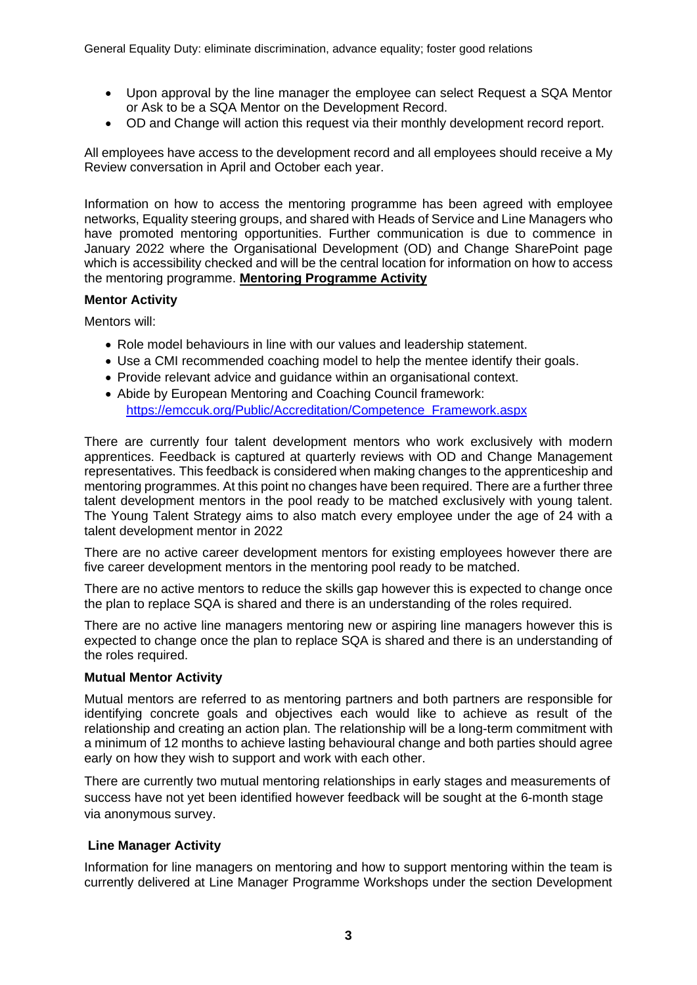- Upon approval by the line manager the employee can select Request a SQA Mentor or Ask to be a SQA Mentor on the Development Record.
- OD and Change will action this request via their monthly development record report.

All employees have access to the development record and all employees should receive a My Review conversation in April and October each year.

Information on how to access the mentoring programme has been agreed with employee networks, Equality steering groups, and shared with Heads of Service and Line Managers who have promoted mentoring opportunities. Further communication is due to commence in January 2022 where the Organisational Development (OD) and Change SharePoint page which is accessibility checked and will be the central location for information on how to access the mentoring programme. **Mentoring Programme Activity**

#### **Mentor Activity**

Mentors will:

- Role model behaviours in line with our values and leadership statement.
- Use a CMI recommended coaching model to help the mentee identify their goals.
- Provide relevant advice and guidance within an organisational context.
- Abide by European Mentoring and Coaching Council framework: [https://emccuk.org/Public/Accreditation/Competence\\_Framework.aspx](https://emccuk.org/Public/Accreditation/Competence_Framework.aspx)

There are currently four talent development mentors who work exclusively with modern apprentices. Feedback is captured at quarterly reviews with OD and Change Management representatives. This feedback is considered when making changes to the apprenticeship and mentoring programmes. At this point no changes have been required. There are a further three talent development mentors in the pool ready to be matched exclusively with young talent. The Young Talent Strategy aims to also match every employee under the age of 24 with a talent development mentor in 2022

There are no active career development mentors for existing employees however there are five career development mentors in the mentoring pool ready to be matched.

There are no active mentors to reduce the skills gap however this is expected to change once the plan to replace SQA is shared and there is an understanding of the roles required.

There are no active line managers mentoring new or aspiring line managers however this is expected to change once the plan to replace SQA is shared and there is an understanding of the roles required.

#### **Mutual Mentor Activity**

Mutual mentors are referred to as mentoring partners and both partners are responsible for identifying concrete goals and objectives each would like to achieve as result of the relationship and creating an action plan. The relationship will be a long-term commitment with a minimum of 12 months to achieve lasting behavioural change and both parties should agree early on how they wish to support and work with each other.

There are currently two mutual mentoring relationships in early stages and measurements of success have not yet been identified however feedback will be sought at the 6-month stage via anonymous survey.

#### **Line Manager Activity**

Information for line managers on mentoring and how to support mentoring within the team is currently delivered at Line Manager Programme Workshops under the section Development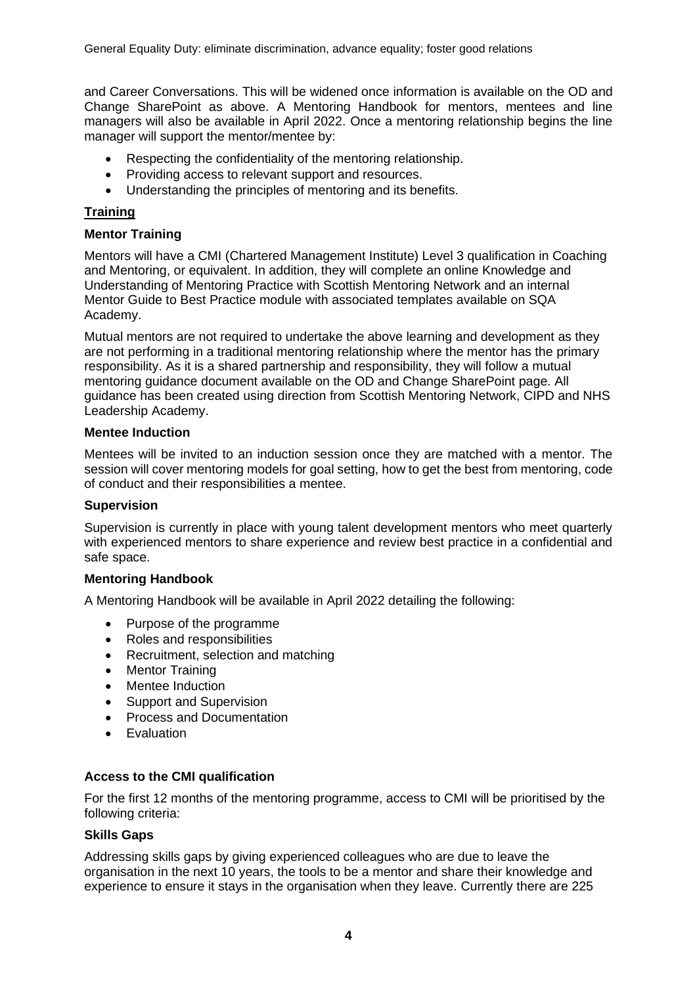and Career Conversations. This will be widened once information is available on the OD and Change SharePoint as above. A Mentoring Handbook for mentors, mentees and line managers will also be available in April 2022. Once a mentoring relationship begins the line manager will support the mentor/mentee by:

- Respecting the confidentiality of the mentoring relationship.
- Providing access to relevant support and resources.
- Understanding the principles of mentoring and its benefits.

### **Training**

#### **Mentor Training**

Mentors will have a CMI (Chartered Management Institute) Level 3 qualification in Coaching and Mentoring, or equivalent. In addition, they will complete an online Knowledge and Understanding of Mentoring Practice with Scottish Mentoring Network and an internal Mentor Guide to Best Practice module with associated templates available on SQA Academy.

Mutual mentors are not required to undertake the above learning and development as they are not performing in a traditional mentoring relationship where the mentor has the primary responsibility. As it is a shared partnership and responsibility, they will follow a mutual mentoring guidance document available on the OD and Change SharePoint page. All guidance has been created using direction from Scottish Mentoring Network, CIPD and NHS Leadership Academy.

#### **Mentee Induction**

Mentees will be invited to an induction session once they are matched with a mentor. The session will cover mentoring models for goal setting, how to get the best from mentoring, code of conduct and their responsibilities a mentee.

#### **Supervision**

Supervision is currently in place with young talent development mentors who meet quarterly with experienced mentors to share experience and review best practice in a confidential and safe space.

#### **Mentoring Handbook**

A Mentoring Handbook will be available in April 2022 detailing the following:

- Purpose of the programme
- Roles and responsibilities
- Recruitment, selection and matching
- Mentor Training
- Mentee Induction
- Support and Supervision
- Process and Documentation
- **Evaluation**

#### **Access to the CMI qualification**

For the first 12 months of the mentoring programme, access to CMI will be prioritised by the following criteria:

#### **Skills Gaps**

Addressing skills gaps by giving experienced colleagues who are due to leave the organisation in the next 10 years, the tools to be a mentor and share their knowledge and experience to ensure it stays in the organisation when they leave. Currently there are 225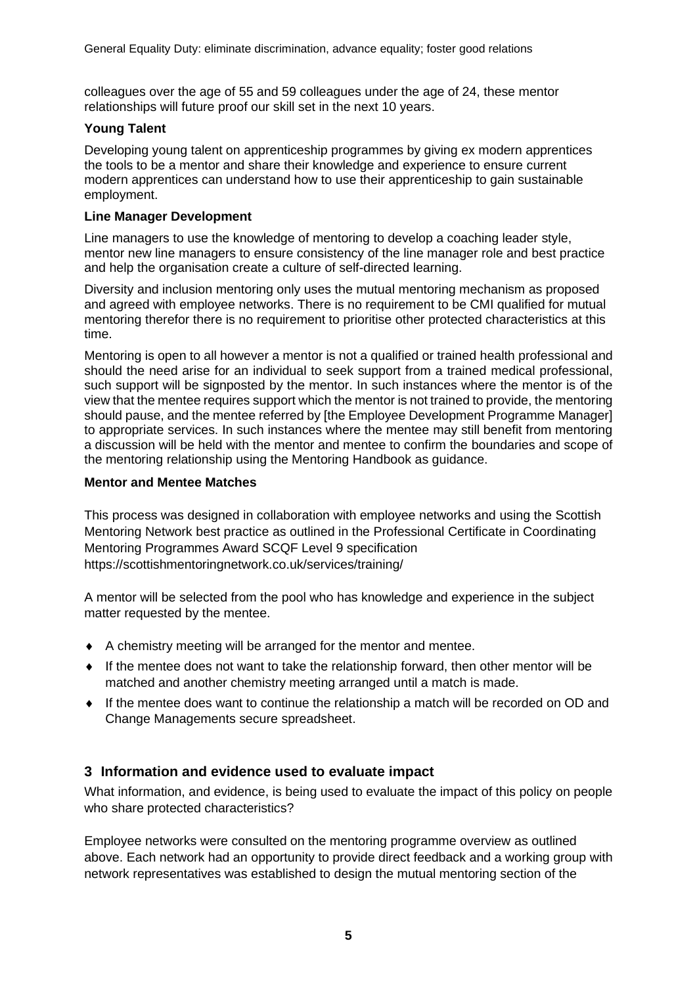colleagues over the age of 55 and 59 colleagues under the age of 24, these mentor relationships will future proof our skill set in the next 10 years.

### **Young Talent**

Developing young talent on apprenticeship programmes by giving ex modern apprentices the tools to be a mentor and share their knowledge and experience to ensure current modern apprentices can understand how to use their apprenticeship to gain sustainable employment.

#### **Line Manager Development**

Line managers to use the knowledge of mentoring to develop a coaching leader style, mentor new line managers to ensure consistency of the line manager role and best practice and help the organisation create a culture of self-directed learning.

Diversity and inclusion mentoring only uses the mutual mentoring mechanism as proposed and agreed with employee networks. There is no requirement to be CMI qualified for mutual mentoring therefor there is no requirement to prioritise other protected characteristics at this time.

Mentoring is open to all however a mentor is not a qualified or trained health professional and should the need arise for an individual to seek support from a trained medical professional, such support will be signposted by the mentor. In such instances where the mentor is of the view that the mentee requires support which the mentor is not trained to provide, the mentoring should pause, and the mentee referred by [the Employee Development Programme Manager] to appropriate services. In such instances where the mentee may still benefit from mentoring a discussion will be held with the mentor and mentee to confirm the boundaries and scope of the mentoring relationship using the Mentoring Handbook as guidance.

#### **Mentor and Mentee Matches**

This process was designed in collaboration with employee networks and using the Scottish Mentoring Network best practice as outlined in the Professional Certificate in Coordinating Mentoring Programmes Award SCQF Level 9 specification https://scottishmentoringnetwork.co.uk/services/training/

A mentor will be selected from the pool who has knowledge and experience in the subject matter requested by the mentee.

- A chemistry meeting will be arranged for the mentor and mentee.
- $\bullet$  If the mentee does not want to take the relationship forward, then other mentor will be matched and another chemistry meeting arranged until a match is made.
- $\bullet$  If the mentee does want to continue the relationship a match will be recorded on OD and Change Managements secure spreadsheet.

## **3 Information and evidence used to evaluate impact**

What information, and evidence, is being used to evaluate the impact of this policy on people who share protected characteristics?

Employee networks were consulted on the mentoring programme overview as outlined above. Each network had an opportunity to provide direct feedback and a working group with network representatives was established to design the mutual mentoring section of the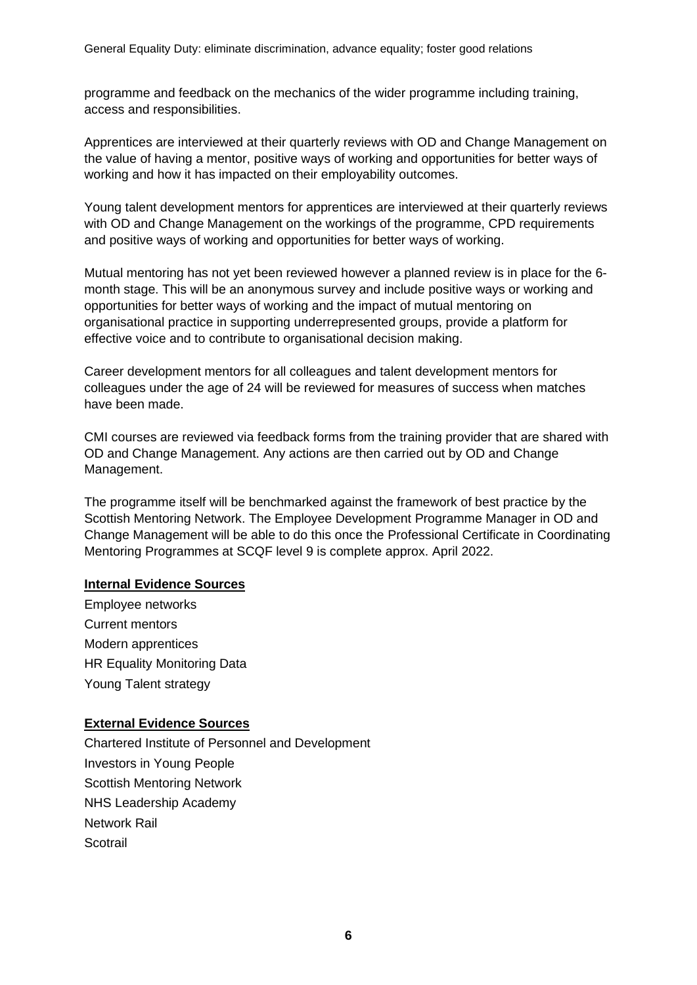programme and feedback on the mechanics of the wider programme including training, access and responsibilities.

Apprentices are interviewed at their quarterly reviews with OD and Change Management on the value of having a mentor, positive ways of working and opportunities for better ways of working and how it has impacted on their employability outcomes.

Young talent development mentors for apprentices are interviewed at their quarterly reviews with OD and Change Management on the workings of the programme, CPD requirements and positive ways of working and opportunities for better ways of working.

Mutual mentoring has not yet been reviewed however a planned review is in place for the 6 month stage. This will be an anonymous survey and include positive ways or working and opportunities for better ways of working and the impact of mutual mentoring on organisational practice in supporting underrepresented groups, provide a platform for effective voice and to contribute to organisational decision making.

Career development mentors for all colleagues and talent development mentors for colleagues under the age of 24 will be reviewed for measures of success when matches have been made.

CMI courses are reviewed via feedback forms from the training provider that are shared with OD and Change Management. Any actions are then carried out by OD and Change Management.

The programme itself will be benchmarked against the framework of best practice by the Scottish Mentoring Network. The Employee Development Programme Manager in OD and Change Management will be able to do this once the Professional Certificate in Coordinating Mentoring Programmes at SCQF level 9 is complete approx. April 2022.

#### **Internal Evidence Sources**

Employee networks Current mentors Modern apprentices HR Equality Monitoring Data Young Talent strategy

## **External Evidence Sources**

Chartered Institute of Personnel and Development Investors in Young People Scottish Mentoring Network NHS Leadership Academy Network Rail **Scotrail**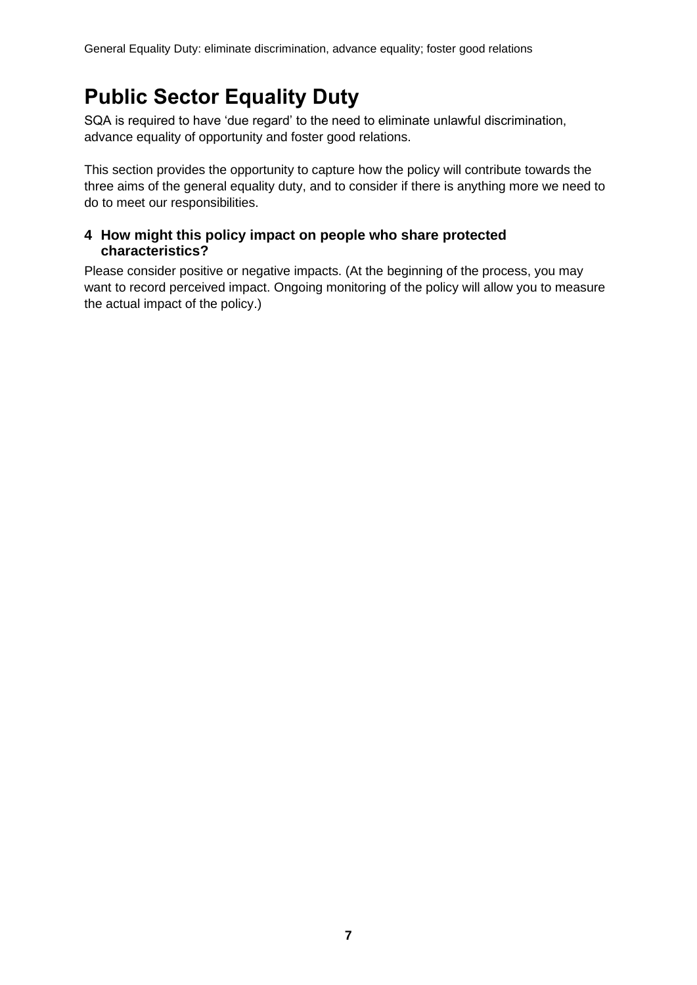# **Public Sector Equality Duty**

SQA is required to have 'due regard' to the need to eliminate unlawful discrimination, advance equality of opportunity and foster good relations.

This section provides the opportunity to capture how the policy will contribute towards the three aims of the general equality duty, and to consider if there is anything more we need to do to meet our responsibilities.

# **4 How might this policy impact on people who share protected characteristics?**

Please consider positive or negative impacts. (At the beginning of the process, you may want to record perceived impact. Ongoing monitoring of the policy will allow you to measure the actual impact of the policy.)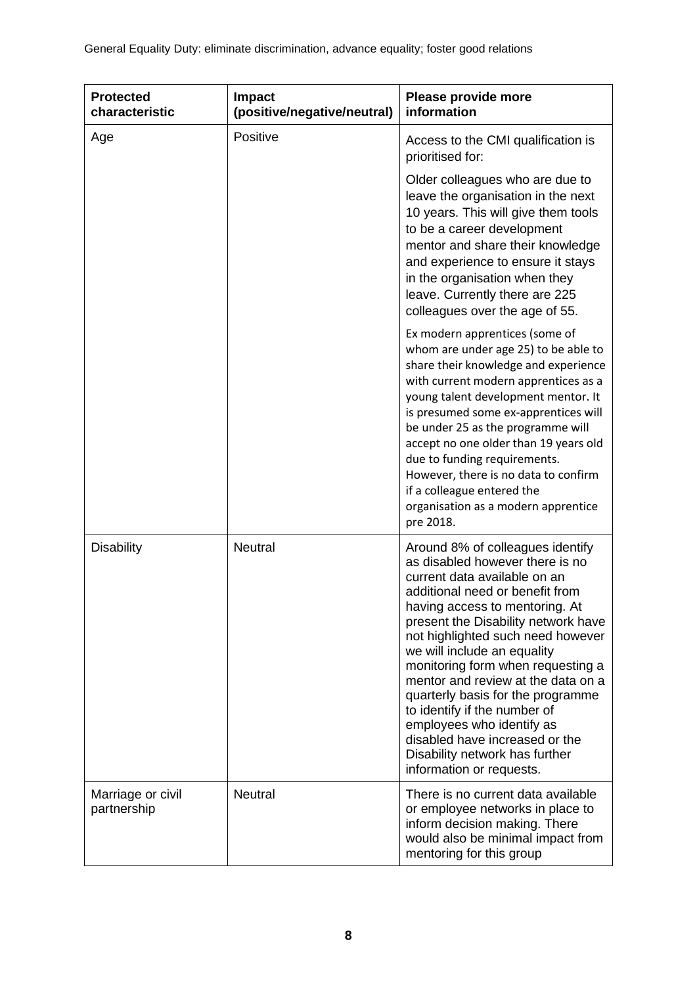| <b>Protected</b><br>characteristic | <b>Impact</b><br>(positive/negative/neutral) | Please provide more<br>information                                                                                                                                                                                                                                                                                                                                                                                                                                                                                                                               |  |
|------------------------------------|----------------------------------------------|------------------------------------------------------------------------------------------------------------------------------------------------------------------------------------------------------------------------------------------------------------------------------------------------------------------------------------------------------------------------------------------------------------------------------------------------------------------------------------------------------------------------------------------------------------------|--|
| Age                                | Positive                                     | Access to the CMI qualification is<br>prioritised for:                                                                                                                                                                                                                                                                                                                                                                                                                                                                                                           |  |
|                                    |                                              | Older colleagues who are due to<br>leave the organisation in the next<br>10 years. This will give them tools<br>to be a career development<br>mentor and share their knowledge<br>and experience to ensure it stays<br>in the organisation when they<br>leave. Currently there are 225<br>colleagues over the age of 55.                                                                                                                                                                                                                                         |  |
|                                    |                                              | Ex modern apprentices (some of<br>whom are under age 25) to be able to<br>share their knowledge and experience<br>with current modern apprentices as a<br>young talent development mentor. It<br>is presumed some ex-apprentices will<br>be under 25 as the programme will<br>accept no one older than 19 years old<br>due to funding requirements.<br>However, there is no data to confirm<br>if a colleague entered the<br>organisation as a modern apprentice<br>pre 2018.                                                                                    |  |
| <b>Disability</b>                  | <b>Neutral</b>                               | Around 8% of colleagues identify<br>as disabled however there is no<br>current data available on an<br>additional need or benefit from<br>having access to mentoring. At<br>present the Disability network have<br>not highlighted such need however<br>we will include an equality<br>monitoring form when requesting a<br>mentor and review at the data on a<br>quarterly basis for the programme<br>to identify if the number of<br>employees who identify as<br>disabled have increased or the<br>Disability network has further<br>information or requests. |  |
| Marriage or civil<br>partnership   | <b>Neutral</b>                               | There is no current data available<br>or employee networks in place to<br>inform decision making. There<br>would also be minimal impact from<br>mentoring for this group                                                                                                                                                                                                                                                                                                                                                                                         |  |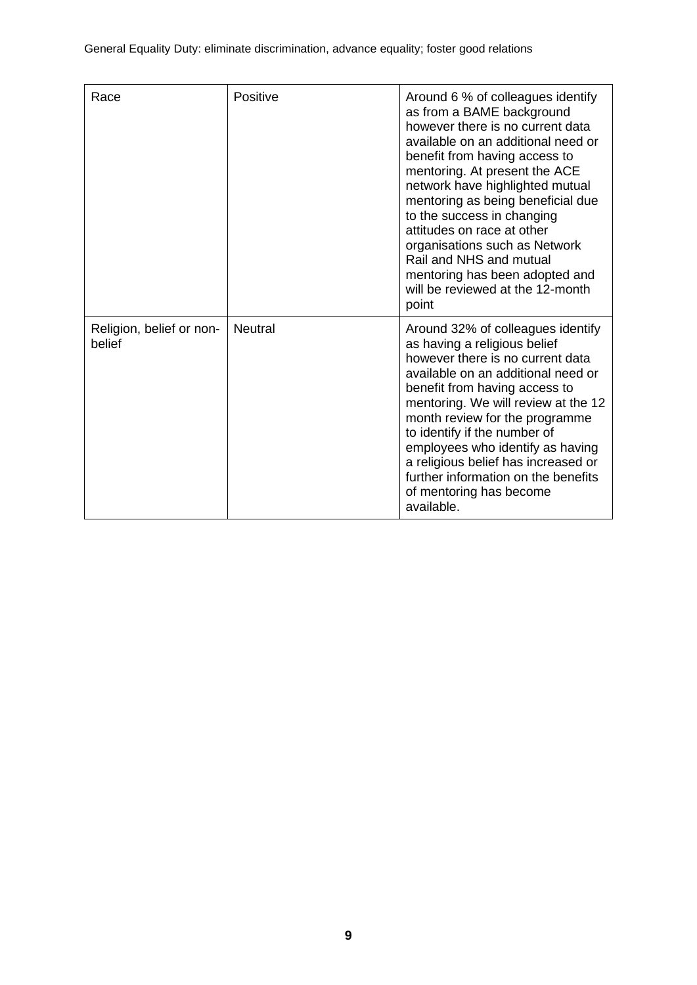| Race                               | Positive       | Around 6 % of colleagues identify<br>as from a BAME background<br>however there is no current data<br>available on an additional need or<br>benefit from having access to<br>mentoring. At present the ACE<br>network have highlighted mutual<br>mentoring as being beneficial due<br>to the success in changing<br>attitudes on race at other<br>organisations such as Network<br>Rail and NHS and mutual<br>mentoring has been adopted and<br>will be reviewed at the 12-month<br>point |
|------------------------------------|----------------|-------------------------------------------------------------------------------------------------------------------------------------------------------------------------------------------------------------------------------------------------------------------------------------------------------------------------------------------------------------------------------------------------------------------------------------------------------------------------------------------|
| Religion, belief or non-<br>belief | <b>Neutral</b> | Around 32% of colleagues identify<br>as having a religious belief<br>however there is no current data<br>available on an additional need or<br>benefit from having access to<br>mentoring. We will review at the 12<br>month review for the programme<br>to identify if the number of<br>employees who identify as having<br>a religious belief has increased or<br>further information on the benefits<br>of mentoring has become<br>available.                                          |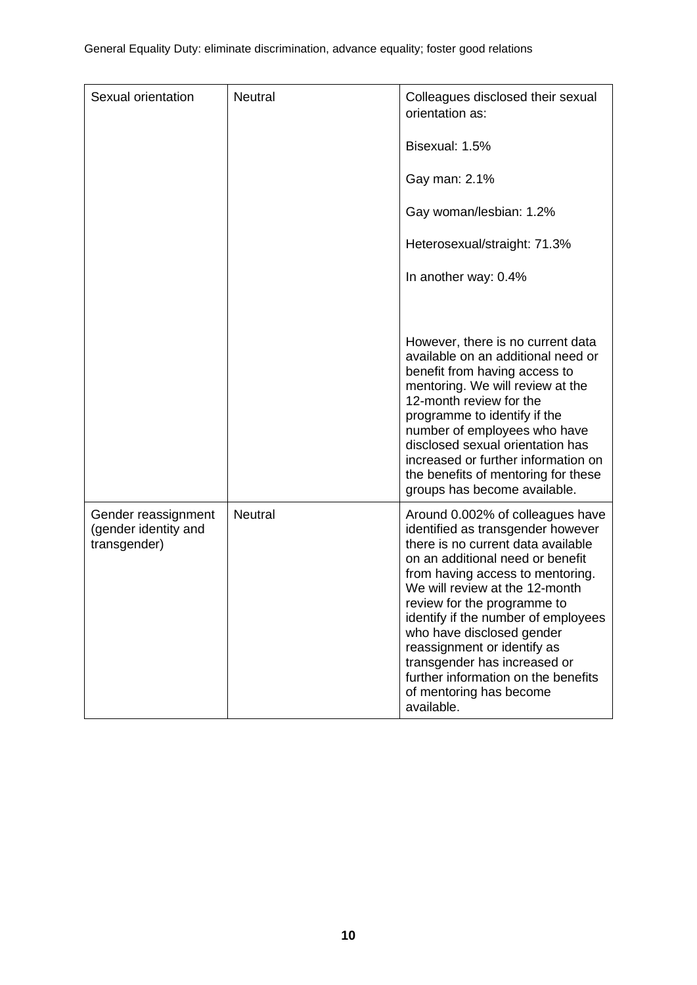| Sexual orientation                                          | <b>Neutral</b> | Colleagues disclosed their sexual<br>orientation as:                                                                                                                                                                                                                                                                                                                                                                                                                    |  |
|-------------------------------------------------------------|----------------|-------------------------------------------------------------------------------------------------------------------------------------------------------------------------------------------------------------------------------------------------------------------------------------------------------------------------------------------------------------------------------------------------------------------------------------------------------------------------|--|
|                                                             |                | Bisexual: 1.5%                                                                                                                                                                                                                                                                                                                                                                                                                                                          |  |
|                                                             |                | Gay man: 2.1%                                                                                                                                                                                                                                                                                                                                                                                                                                                           |  |
|                                                             |                | Gay woman/lesbian: 1.2%                                                                                                                                                                                                                                                                                                                                                                                                                                                 |  |
|                                                             |                | Heterosexual/straight: 71.3%                                                                                                                                                                                                                                                                                                                                                                                                                                            |  |
|                                                             |                | In another way: 0.4%                                                                                                                                                                                                                                                                                                                                                                                                                                                    |  |
|                                                             |                |                                                                                                                                                                                                                                                                                                                                                                                                                                                                         |  |
|                                                             |                | However, there is no current data<br>available on an additional need or<br>benefit from having access to<br>mentoring. We will review at the<br>12-month review for the<br>programme to identify if the<br>number of employees who have<br>disclosed sexual orientation has<br>increased or further information on<br>the benefits of mentoring for these<br>groups has become available.                                                                               |  |
| Gender reassignment<br>(gender identity and<br>transgender) | <b>Neutral</b> | Around 0.002% of colleagues have<br>identified as transgender however<br>there is no current data available<br>on an additional need or benefit<br>from having access to mentoring.<br>We will review at the 12-month<br>review for the programme to<br>identify if the number of employees<br>who have disclosed gender<br>reassignment or identify as<br>transgender has increased or<br>further information on the benefits<br>of mentoring has become<br>available. |  |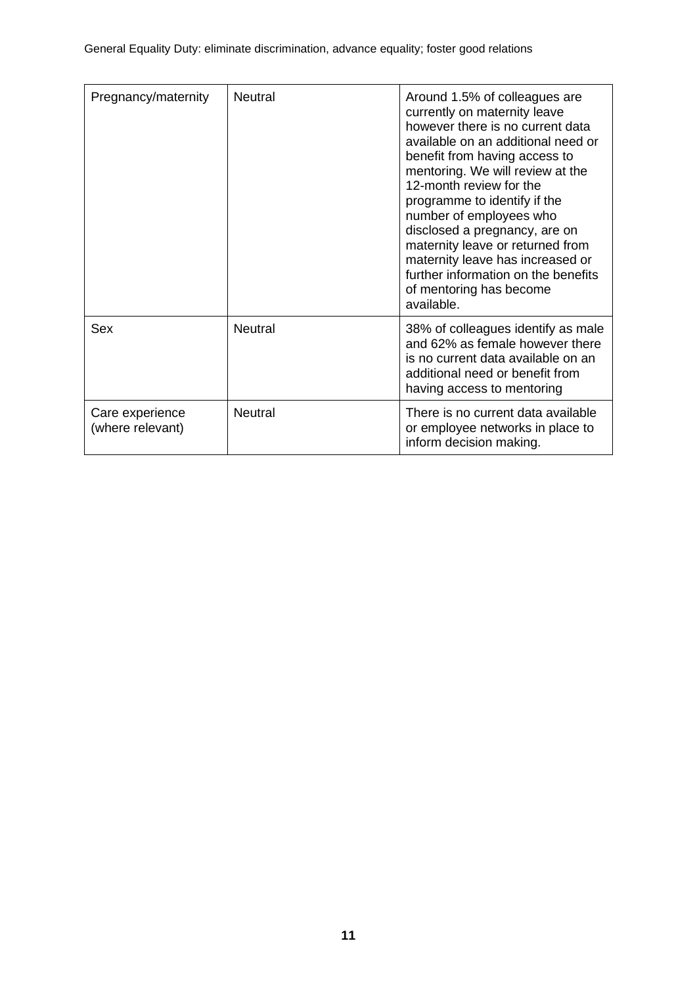| Pregnancy/maternity                 | <b>Neutral</b> | Around 1.5% of colleagues are<br>currently on maternity leave<br>however there is no current data<br>available on an additional need or<br>benefit from having access to<br>mentoring. We will review at the<br>12-month review for the<br>programme to identify if the<br>number of employees who<br>disclosed a pregnancy, are on<br>maternity leave or returned from<br>maternity leave has increased or<br>further information on the benefits<br>of mentoring has become<br>available. |
|-------------------------------------|----------------|---------------------------------------------------------------------------------------------------------------------------------------------------------------------------------------------------------------------------------------------------------------------------------------------------------------------------------------------------------------------------------------------------------------------------------------------------------------------------------------------|
| Sex                                 | <b>Neutral</b> | 38% of colleagues identify as male<br>and 62% as female however there<br>is no current data available on an<br>additional need or benefit from<br>having access to mentoring                                                                                                                                                                                                                                                                                                                |
| Care experience<br>(where relevant) | <b>Neutral</b> | There is no current data available<br>or employee networks in place to<br>inform decision making.                                                                                                                                                                                                                                                                                                                                                                                           |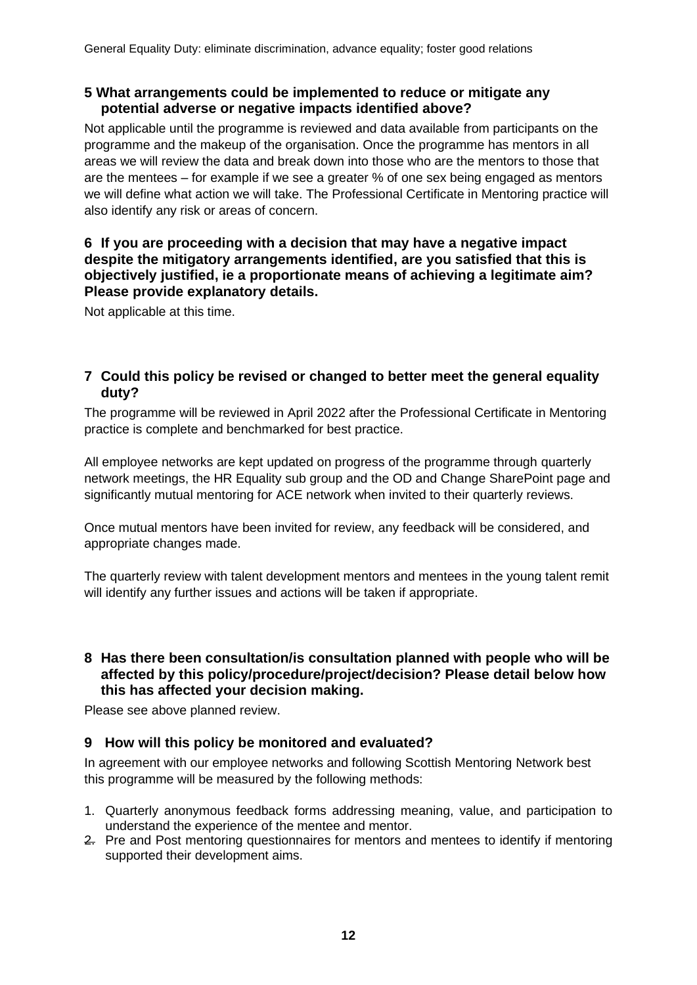## **5 What arrangements could be implemented to reduce or mitigate any potential adverse or negative impacts identified above?**

Not applicable until the programme is reviewed and data available from participants on the programme and the makeup of the organisation. Once the programme has mentors in all areas we will review the data and break down into those who are the mentors to those that are the mentees – for example if we see a greater % of one sex being engaged as mentors we will define what action we will take. The Professional Certificate in Mentoring practice will also identify any risk or areas of concern.

## **6 If you are proceeding with a decision that may have a negative impact despite the mitigatory arrangements identified, are you satisfied that this is objectively justified, ie a proportionate means of achieving a legitimate aim? Please provide explanatory details.**

Not applicable at this time.

### **7 Could this policy be revised or changed to better meet the general equality duty?**

The programme will be reviewed in April 2022 after the Professional Certificate in Mentoring practice is complete and benchmarked for best practice.

All employee networks are kept updated on progress of the programme through quarterly network meetings, the HR Equality sub group and the OD and Change SharePoint page and significantly mutual mentoring for ACE network when invited to their quarterly reviews.

Once mutual mentors have been invited for review, any feedback will be considered, and appropriate changes made.

The quarterly review with talent development mentors and mentees in the young talent remit will identify any further issues and actions will be taken if appropriate.

# **8 Has there been consultation/is consultation planned with people who will be affected by this policy/procedure/project/decision? Please detail below how this has affected your decision making.**

Please see above planned review.

## **9 How will this policy be monitored and evaluated?**

In agreement with our employee networks and following Scottish Mentoring Network best this programme will be measured by the following methods:

- 1. Quarterly anonymous feedback forms addressing meaning, value, and participation to understand the experience of the mentee and mentor.
- 2. Pre and Post mentoring questionnaires for mentors and mentees to identify if mentoring supported their development aims.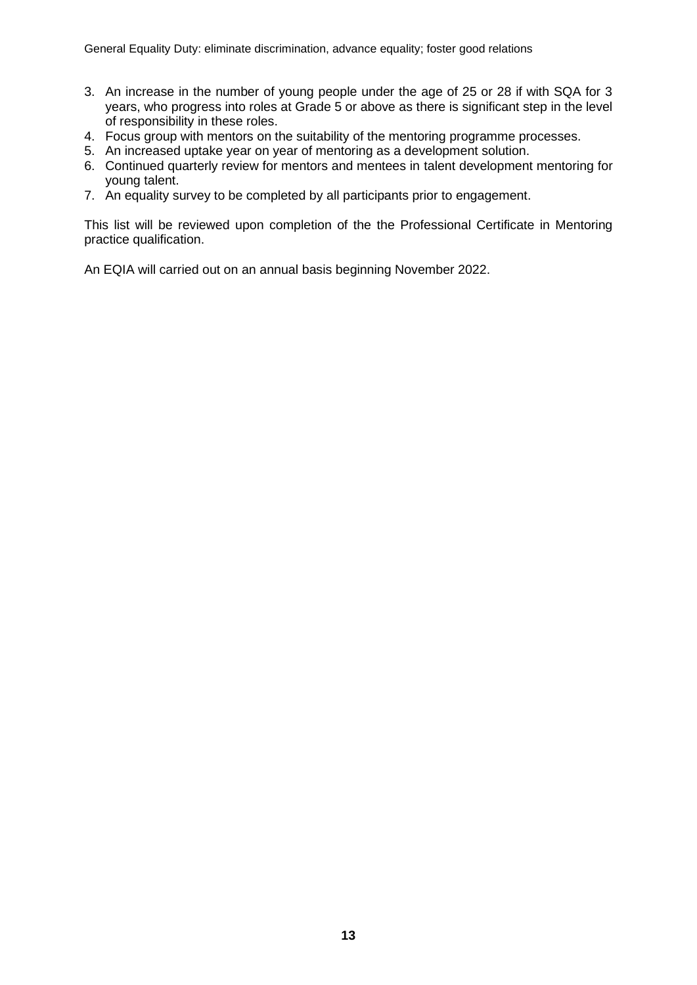- 3. An increase in the number of young people under the age of 25 or 28 if with SQA for 3 years, who progress into roles at Grade 5 or above as there is significant step in the level of responsibility in these roles.
- 4. Focus group with mentors on the suitability of the mentoring programme processes.
- 5. An increased uptake year on year of mentoring as a development solution.
- 6. Continued quarterly review for mentors and mentees in talent development mentoring for young talent.
- 7. An equality survey to be completed by all participants prior to engagement.

This list will be reviewed upon completion of the the Professional Certificate in Mentoring practice qualification.

An EQIA will carried out on an annual basis beginning November 2022.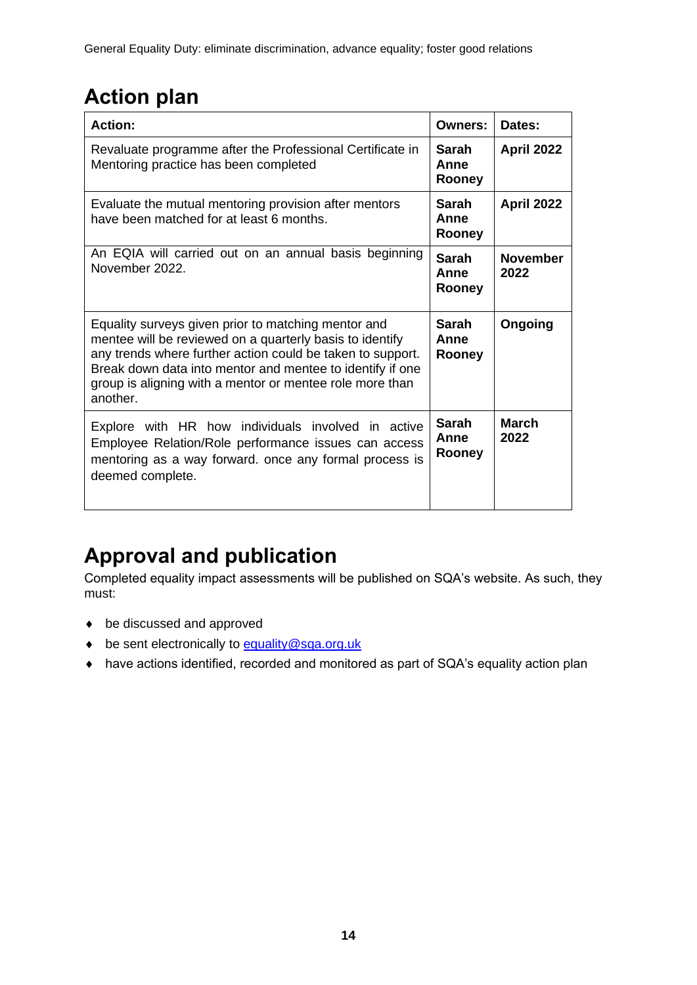# **Action plan**

| <b>Action:</b>                                                                                                                                                                                                                                                                                                     | Owners:                        | Dates:                  |
|--------------------------------------------------------------------------------------------------------------------------------------------------------------------------------------------------------------------------------------------------------------------------------------------------------------------|--------------------------------|-------------------------|
| Revaluate programme after the Professional Certificate in<br>Mentoring practice has been completed                                                                                                                                                                                                                 | Sarah<br>Anne<br>Rooney        | <b>April 2022</b>       |
| Evaluate the mutual mentoring provision after mentors<br>have been matched for at least 6 months.                                                                                                                                                                                                                  | Sarah<br>Anne<br>Rooney        | April 2022              |
| An EQIA will carried out on an annual basis beginning<br>November 2022.                                                                                                                                                                                                                                            | <b>Sarah</b><br>Anne<br>Rooney | <b>November</b><br>2022 |
| Equality surveys given prior to matching mentor and<br>mentee will be reviewed on a quarterly basis to identify<br>any trends where further action could be taken to support.<br>Break down data into mentor and mentee to identify if one<br>group is aligning with a mentor or mentee role more than<br>another. | Sarah<br>Anne<br>Rooney        | Ongoing                 |
| Explore with HR how individuals involved in active<br>Employee Relation/Role performance issues can access<br>mentoring as a way forward. once any formal process is<br>deemed complete.                                                                                                                           | <b>Sarah</b><br>Anne<br>Rooney | March<br>2022           |

# **Approval and publication**

Completed equality impact assessments will be published on SQA's website. As such, they must:

- ◆ be discussed and approved
- be sent electronically to [equality@sqa.org.uk](mailto:equality@sqa.org.uk)
- have actions identified, recorded and monitored as part of SQA's equality action plan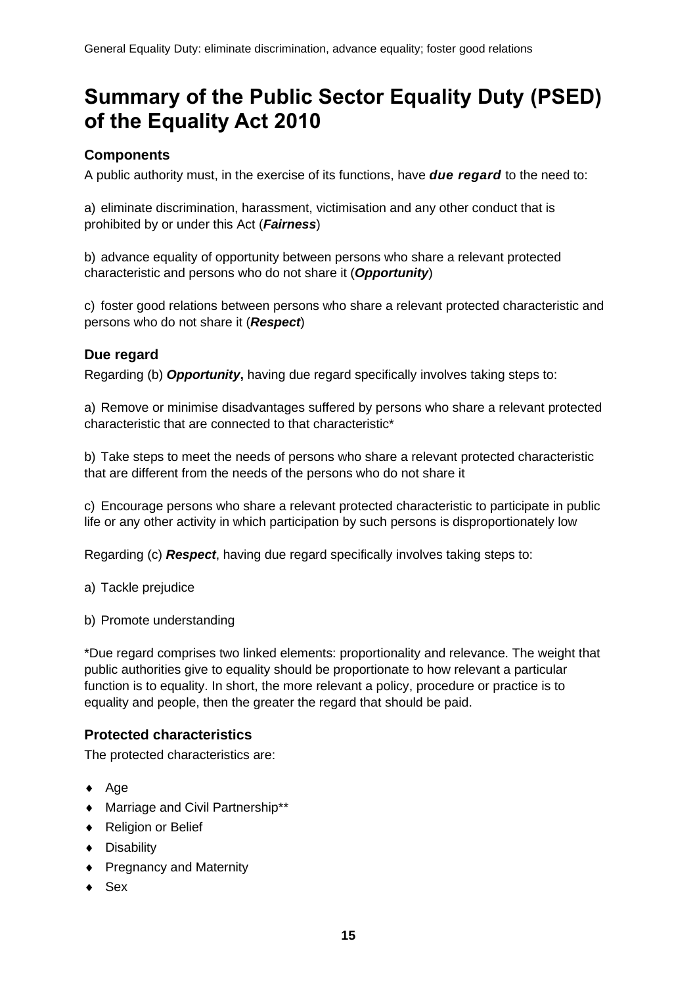# **Summary of the Public Sector Equality Duty (PSED) of the Equality Act 2010**

# **Components**

A public authority must, in the exercise of its functions, have *due regard* to the need to:

a) eliminate discrimination, harassment, victimisation and any other conduct that is prohibited by or under this Act (*Fairness*)

b) advance equality of opportunity between persons who share a relevant protected characteristic and persons who do not share it (*Opportunity*)

c) foster good relations between persons who share a relevant protected characteristic and persons who do not share it (*Respect*)

# **Due regard**

Regarding (b) *Opportunity***,** having due regard specifically involves taking steps to:

a) Remove or minimise disadvantages suffered by persons who share a relevant protected characteristic that are connected to that characteristic\*

b) Take steps to meet the needs of persons who share a relevant protected characteristic that are different from the needs of the persons who do not share it

c) Encourage persons who share a relevant protected characteristic to participate in public life or any other activity in which participation by such persons is disproportionately low

Regarding (c) *Respect*, having due regard specifically involves taking steps to:

a) Tackle prejudice

b) Promote understanding

\*Due regard comprises two linked elements: proportionality and relevance. The weight that public authorities give to equality should be proportionate to how relevant a particular function is to equality. In short, the more relevant a policy, procedure or practice is to equality and people, then the greater the regard that should be paid.

## **Protected characteristics**

The protected characteristics are:

- $\leftrightarrow$  Age
- Marriage and Civil Partnership\*\*
- ◆ Religion or Belief
- ◆ Disability
- ◆ Pregnancy and Maternity
- $\bullet$  Sex